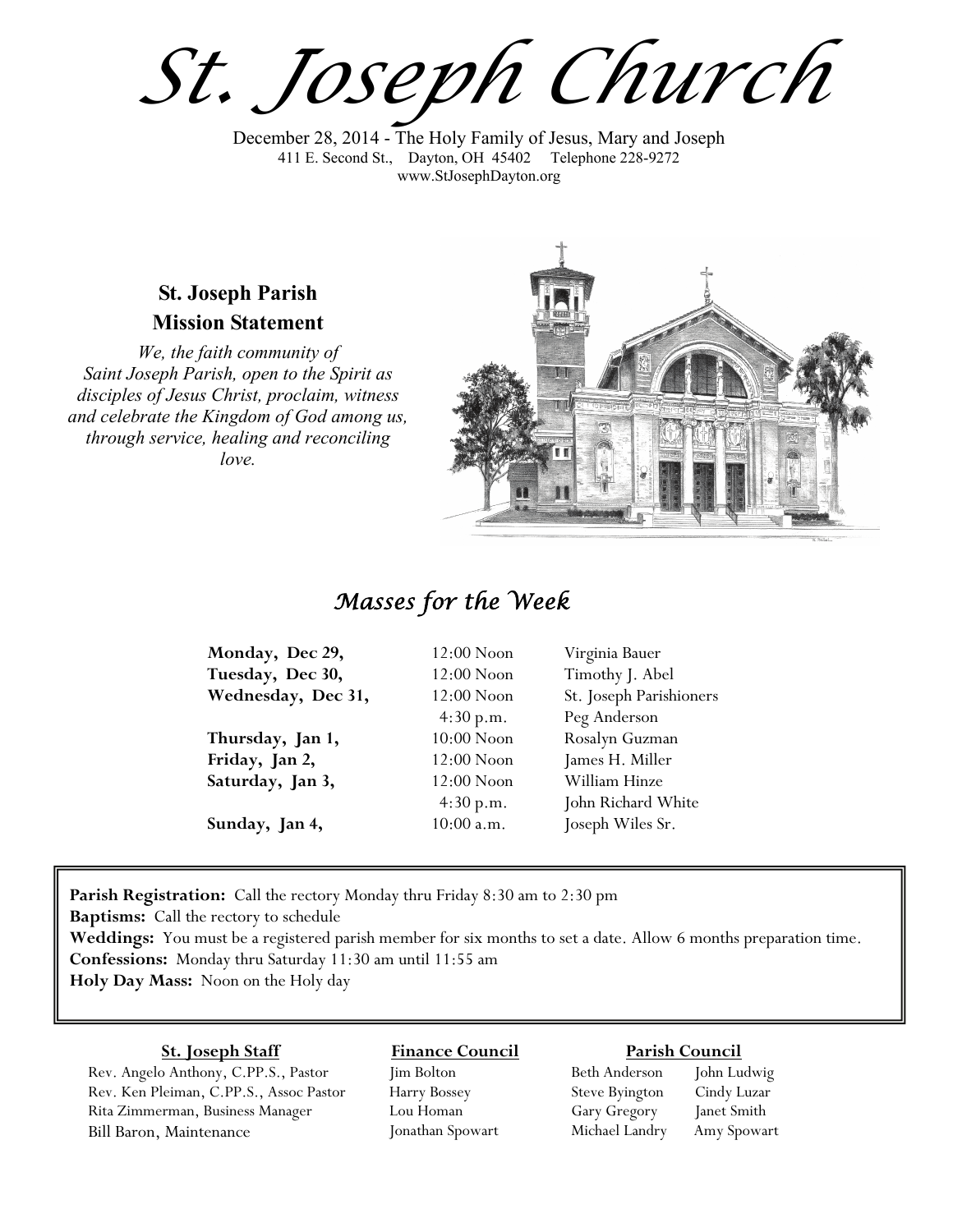*St. Joseph Church*

December 28, 2014 - The Holy Family of Jesus, Mary and Joseph 411 E. Second St., Dayton, OH 45402 Telephone 228-9272 www.StJosephDayton.org

#### **St. Joseph Parish Mission Statement**

*We, the faith community of Saint Joseph Parish, open to the Spirit as disciples of Jesus Christ, proclaim, witness and celebrate the Kingdom of God among us, through service, healing and reconciling love.*



## *Masses for the Week*

| Monday, Dec 29,    | $12:00$ Noon | Virginia Bauer          |
|--------------------|--------------|-------------------------|
| Tuesday, Dec 30,   | 12:00 Noon   | Timothy J. Abel         |
| Wednesday, Dec 31, | $12:00$ Noon | St. Joseph Parishioners |
|                    | 4:30 p.m.    | Peg Anderson            |
| Thursday, Jan 1,   | $10:00$ Noon | Rosalyn Guzman          |
| Friday, Jan 2,     | 12:00 Noon   | James H. Miller         |
| Saturday, Jan 3,   | $12:00$ Noon | William Hinze           |
|                    | 4:30 p.m.    | John Richard White      |
| Sunday, Jan 4,     | $10:00$ a.m. | Joseph Wiles Sr.        |

**Parish Registration:** Call the rectory Monday thru Friday 8:30 am to 2:30 pm

**Baptisms:** Call the rectory to schedule

**Weddings:** You must be a registered parish member for six months to set a date. Allow 6 months preparation time. **Confessions:** Monday thru Saturday 11:30 am until 11:55 am **Holy Day Mass:** Noon on the Holy day

#### **St. Joseph Staff**

Rev. Angelo Anthony, C.PP.S., Pastor Rev. Ken Pleiman, C.PP.S., Assoc Pastor Rita Zimmerman, Business Manager Bill Baron, Maintenance

#### **Finance Council**

Jim Bolton Harry Bossey Lou Homan Jonathan Spowart

#### **Parish Council**

Beth Anderson John Ludwig Steve Byington Cindy Luzar Gary Gregory Janet Smith Michael Landry Amy Spowart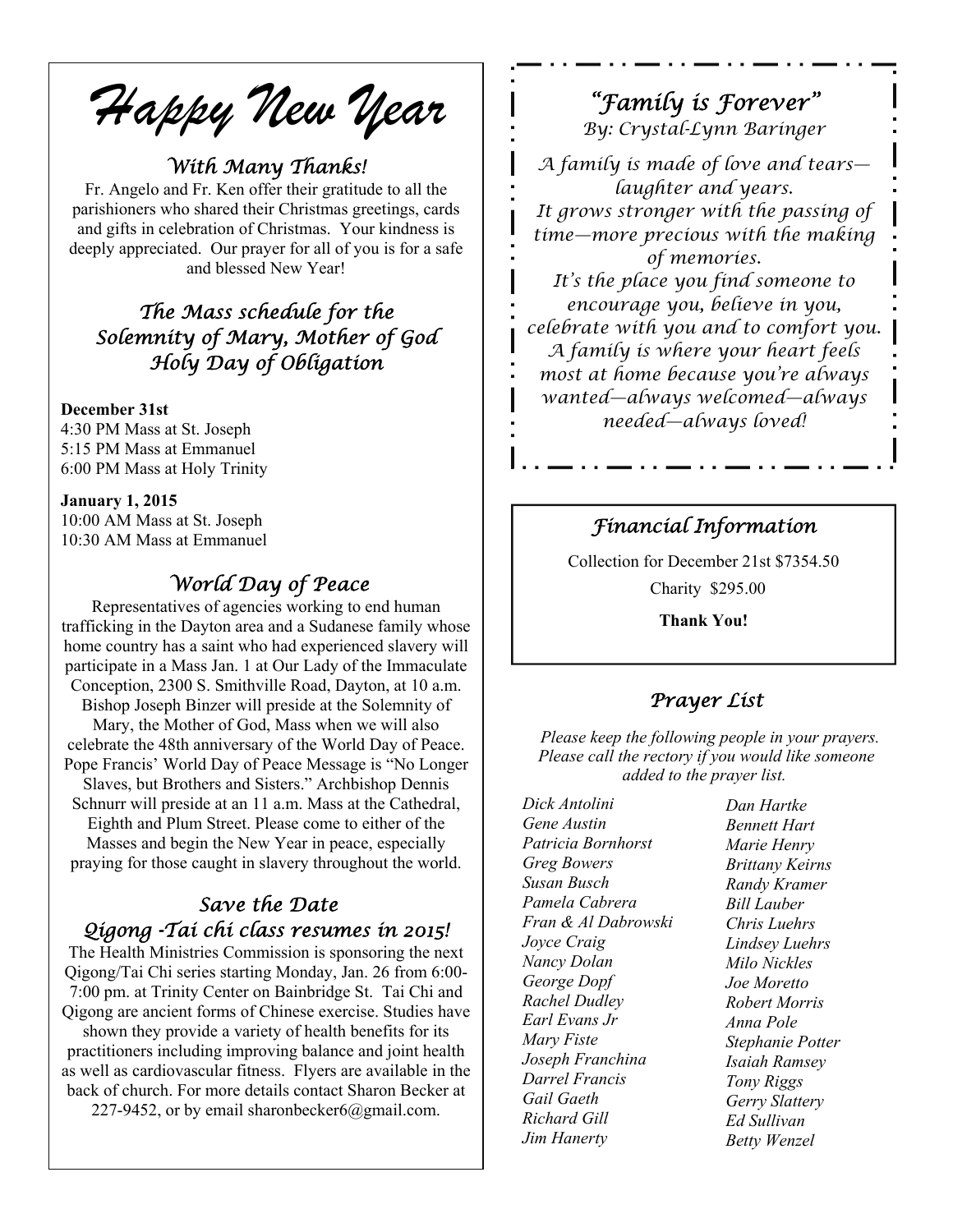*Happy New Year* 

#### *With Many Thanks!*

Fr. Angelo and Fr. Ken offer their gratitude to all the parishioners who shared their Christmas greetings, cards and gifts in celebration of Christmas. Your kindness is deeply appreciated. Our prayer for all of you is for a safe and blessed New Year!

#### *The Mass schedule for the Solemnity of Mary, Mother of God Holy Day of Obligation*

#### **December 31st**

4:30 PM Mass at St. Joseph 5:15 PM Mass at Emmanuel 6:00 PM Mass at Holy Trinity

**January 1, 2015**  10:00 AM Mass at St. Joseph 10:30 AM Mass at Emmanuel

#### *World Day of Peace*

Representatives of agencies working to end human trafficking in the Dayton area and a Sudanese family whose home country has a saint who had experienced slavery will participate in a Mass Jan. 1 at Our Lady of the Immaculate Conception, 2300 S. Smithville Road, Dayton, at 10 a.m. Bishop Joseph Binzer will preside at the Solemnity of Mary, the Mother of God, Mass when we will also celebrate the 48th anniversary of the World Day of Peace. Pope Francis' World Day of Peace Message is "No Longer Slaves, but Brothers and Sisters." Archbishop Dennis Schnurr will preside at an 11 a.m. Mass at the Cathedral, Eighth and Plum Street. Please come to either of the Masses and begin the New Year in peace, especially praying for those caught in slavery throughout the world.

#### *Save the Date Qigong -Tai chi class resumes in 2015!*

The Health Ministries Commission is sponsoring the next Qigong/Tai Chi series starting Monday, Jan. 26 from 6:00- 7:00 pm. at Trinity Center on Bainbridge St. Tai Chi and Qigong are ancient forms of Chinese exercise. Studies have shown they provide a variety of health benefits for its practitioners including improving balance and joint health as well as cardiovascular fitness. Flyers are available in the back of church. For more details contact Sharon Becker at

227-9452, or by email sharonbecker6@gmail.com.

## *"Family is Forever"*

*By: Crystal-Lynn Baringer* 

*A family is made of love and tears laughter and years. It grows stronger with the passing of time—more precious with the making of memories. It's the place you find someone to encourage you, believe in you, celebrate with you and to comfort you.* 

*A family is where your heart feels most at home because you're always wanted—always welcomed—always needed—always loved!* 

#### *Financial Information*

Collection for December 21st \$7354.50 Charity \$295.00

**Thank You!** 

#### *Prayer List*

 *Please keep the following people in your prayers. Please call the rectory if you would like someone added to the prayer list.* 

*Dick Antolini Gene Austin Patricia Bornhorst Greg Bowers Susan Busch Pamela Cabrera Fran & Al Dabrowski Joyce Craig Nancy Dolan George Dopf Rachel Dudley Earl Evans Jr Mary Fiste Joseph Franchina Darrel Francis Gail Gaeth Richard Gill Jim Hanerty* 

*Dan Hartke Bennett Hart Marie Henry Brittany Keirns Randy Kramer Bill Lauber Chris Luehrs Lindsey Luehrs Milo Nickles Joe Moretto Robert Morris Anna Pole Stephanie Potter Isaiah Ramsey Tony Riggs Gerry Slattery Ed Sullivan Betty Wenzel*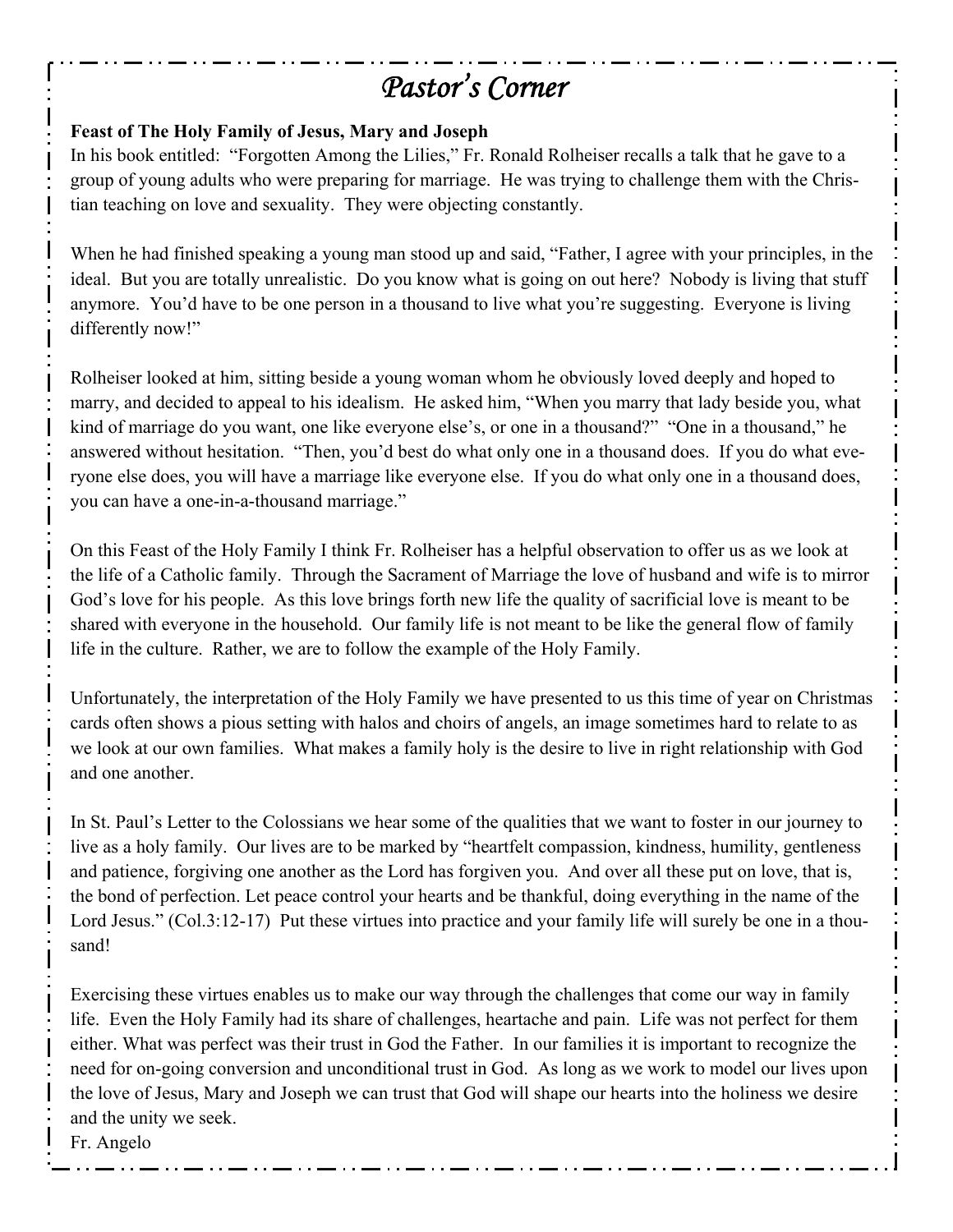# *Pastor's Corner*

#### **Feast of The Holy Family of Jesus, Mary and Joseph**

In his book entitled: "Forgotten Among the Lilies," Fr. Ronald Rolheiser recalls a talk that he gave to a group of young adults who were preparing for marriage. He was trying to challenge them with the Christian teaching on love and sexuality. They were objecting constantly.

When he had finished speaking a young man stood up and said, "Father, I agree with your principles, in the ideal. But you are totally unrealistic. Do you know what is going on out here? Nobody is living that stuff anymore. You'd have to be one person in a thousand to live what you're suggesting. Everyone is living differently now!"

Rolheiser looked at him, sitting beside a young woman whom he obviously loved deeply and hoped to marry, and decided to appeal to his idealism. He asked him, "When you marry that lady beside you, what kind of marriage do you want, one like everyone else's, or one in a thousand?" "One in a thousand," he answered without hesitation. "Then, you'd best do what only one in a thousand does. If you do what everyone else does, you will have a marriage like everyone else. If you do what only one in a thousand does, you can have a one-in-a-thousand marriage."

On this Feast of the Holy Family I think Fr. Rolheiser has a helpful observation to offer us as we look at the life of a Catholic family. Through the Sacrament of Marriage the love of husband and wife is to mirror God's love for his people. As this love brings forth new life the quality of sacrificial love is meant to be shared with everyone in the household. Our family life is not meant to be like the general flow of family life in the culture. Rather, we are to follow the example of the Holy Family.

Unfortunately, the interpretation of the Holy Family we have presented to us this time of year on Christmas cards often shows a pious setting with halos and choirs of angels, an image sometimes hard to relate to as we look at our own families. What makes a family holy is the desire to live in right relationship with God and one another.

In St. Paul's Letter to the Colossians we hear some of the qualities that we want to foster in our journey to live as a holy family. Our lives are to be marked by "heartfelt compassion, kindness, humility, gentleness and patience, forgiving one another as the Lord has forgiven you. And over all these put on love, that is, the bond of perfection. Let peace control your hearts and be thankful, doing everything in the name of the Lord Jesus." (Col.3:12-17) Put these virtues into practice and your family life will surely be one in a thousand!

Exercising these virtues enables us to make our way through the challenges that come our way in family life. Even the Holy Family had its share of challenges, heartache and pain. Life was not perfect for them either. What was perfect was their trust in God the Father. In our families it is important to recognize the need for on-going conversion and unconditional trust in God. As long as we work to model our lives upon the love of Jesus, Mary and Joseph we can trust that God will shape our hearts into the holiness we desire and the unity we seek.

Fr. Angelo